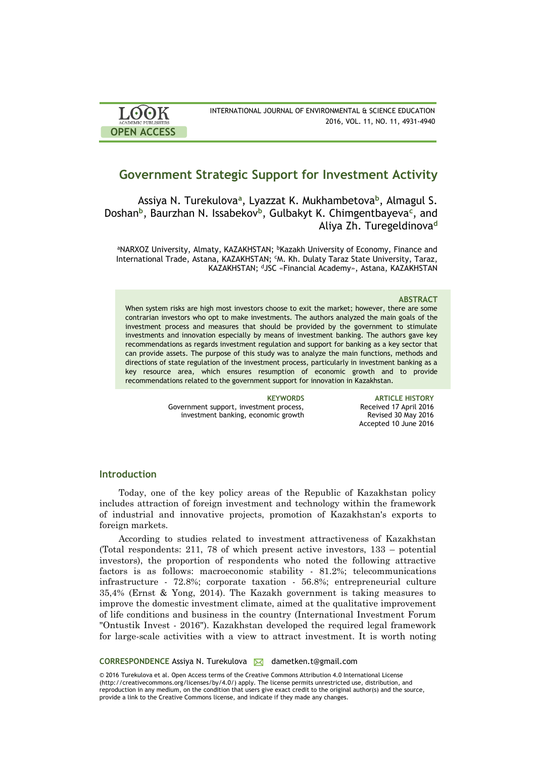| <b>LOOK</b>                | INTERNATIONAL JOURNAL OF ENVIRONMENTAL & SCIENCE EDUCATION |
|----------------------------|------------------------------------------------------------|
| <b>ACADEMIC PUBLISHERS</b> | 2016, VOL. 11, NO. 11, 4931-4940                           |
| <b>OPEN ACCESS</b>         |                                                            |

# **Government Strategic Support for Investment Activity**

Assiya N. Turekulova**<sup>a</sup>** , Lyazzat K. Mukhambetova**<sup>b</sup>** , Almagul S. Doshan**<sup>b</sup>** , Baurzhan N. Issabekov**<sup>b</sup>** , Gulbakyt K. Chimgentbayeva**<sup>c</sup>** , and Aliya Zh. Turegeldinova**<sup>d</sup>**

aNARXOZ University, Almaty, KAZAKHSTAN; <sup>b</sup>Kazakh University of Economy, Finance and International Trade, Astana, KAZAKHSTAN; <sup>c</sup>M. Kh. Dulaty Taraz State University, Taraz, KAZAKHSTAN; <sup>d</sup>JSC «Financial Academy», Astana, KAZAKHSTAN

#### **ABSTRACT**

When system risks are high most investors choose to exit the market; however, there are some contrarian investors who opt to make investments. The authors analyzed the main goals of the investment process and measures that should be provided by the government to stimulate investments and innovation especially by means of investment banking. The authors gave key recommendations as regards investment regulation and support for banking as a key sector that can provide assets. The purpose of this study was to analyze the main functions, methods and directions of state regulation of the investment process, particularly in investment banking as a key resource area, which ensures resumption of economic growth and to provide recommendations related to the government support for innovation in Kazakhstan.

> Government support, investment process, investment banking, economic growth

**KEYWORDS ARTICLE HISTORY** Received 17 April 2016 Revised 30 May 2016 Accepted 10 June 2016

# **Introduction**

Today, one of the key policy areas of the Republic of Kazakhstan policy includes attraction of foreign investment and technology within the framework of industrial and innovative projects, promotion of Kazakhstan's exports to foreign markets.

According to studies related to investment attractiveness of Kazakhstan (Total respondents: 211, 78 of which present active investors, 133 – potential investors), the proportion of respondents who noted the following attractive factors is as follows: macroeconomic stability - 81.2%; telecommunications infrastructure - 72.8%; corporate taxation - 56.8%; entrepreneurial culture 35,4% (Ernst & Yong, 2014). The Kazakh government is taking measures to improve the domestic investment climate, aimed at the qualitative improvement of life conditions and business in the country (International Investment Forum "Ontustik Invest - 2016"). Kazakhstan developed the required legal framework for large-scale activities with a view to attract investment. It is worth noting

**CORRESPONDENCE** Assiya N. Turekulova **M** dametken.t@gmail.com

© 2016 Turekulova et al. Open Access terms of the Creative Commons Attribution 4.0 International License (http://creativecommons.org/licenses/by/4.0/) apply. The license permits unrestricted use, distribution, and reproduction in any medium, on the condition that users give exact credit to the original author(s) and the source, provide a link to the Creative Commons license, and indicate if they made any changes.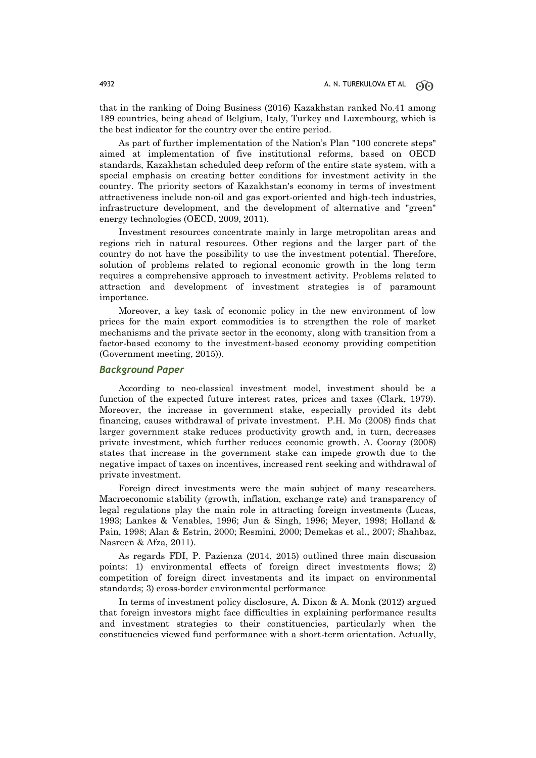that in the ranking of Doing Business (2016) Kazakhstan ranked No.41 among 189 countries, being ahead of Belgium, Italy, Turkey and Luxembourg, which is the best indicator for the country over the entire period.

As part of further implementation of the Nation's Plan "100 concrete steps" aimed at implementation of five institutional reforms, based on OECD standards, Kazakhstan scheduled deep reform of the entire state system, with a special emphasis on creating better conditions for investment activity in the country. The priority sectors of Kazakhstan's economy in terms of investment attractiveness include non-oil and gas export-oriented and high-tech industries, infrastructure development, and the development of alternative and "green" energy technologies (OECD, 2009, 2011).

Investment resources concentrate mainly in large metropolitan areas and regions rich in natural resources. Other regions and the larger part of the country do not have the possibility to use the investment potential. Therefore, solution of problems related to regional economic growth in the long term requires a comprehensive approach to investment activity. Problems related to attraction and development of investment strategies is of paramount importance.

Moreover, a key task of economic policy in the new environment of low prices for the main export commodities is to strengthen the role of market mechanisms and the private sector in the economy, along with transition from a factor-based economy to the investment-based economy providing competition (Government meeting, 2015)).

# *Background Paper*

According to neo-classical investment model, investment should be a function of the expected future interest rates, prices and taxes (Clark, 1979). Moreover, the increase in government stake, especially provided its debt financing, causes withdrawal of private investment. P.H. Mo (2008) finds that larger government stake reduces productivity growth and, in turn, decreases private investment, which further reduces economic growth. A. Cooray (2008) states that increase in the government stake can impede growth due to the negative impact of taxes on incentives, increased rent seeking and withdrawal of private investment.

Foreign direct investments were the main subject of many researchers. Macroeconomic stability (growth, inflation, exchange rate) and transparency of legal regulations play the main role in attracting foreign investments (Lucas, 1993; Lankes & Venables, 1996; Jun & Singh, 1996; Meyer, 1998; Holland & Pain, 1998; Alan & Estrin, 2000; Resmini, 2000; Demekas et al., 2007; Shahbaz, Nasreen & Afza, 2011).

As regards FDI, P. Pazienza (2014, 2015) outlined three main discussion points: 1) environmental effects of foreign direct investments flows; 2) competition of foreign direct investments and its impact on environmental standards; 3) cross-border environmental performance

In terms of investment policy disclosure, A. Dixon & A. Monk (2012) argued that foreign investors might face difficulties in explaining performance results and investment strategies to their constituencies, particularly when the constituencies viewed fund performance with a short-term orientation. Actually,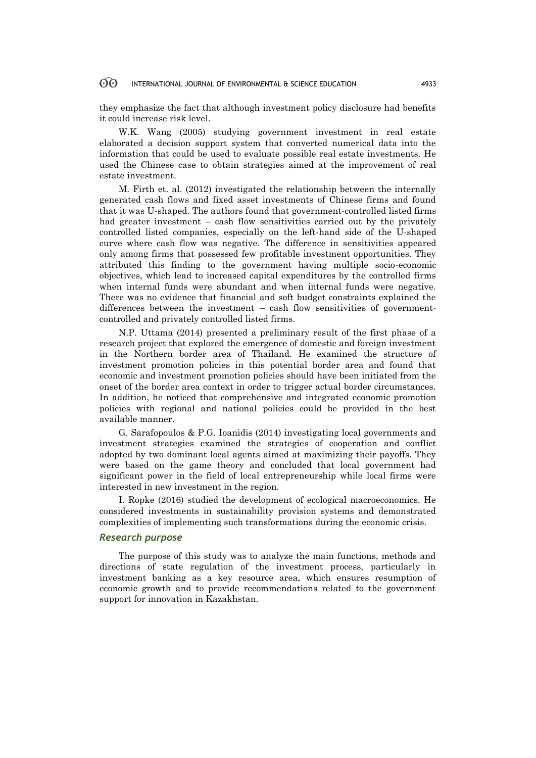#### 60 INTERNATIONAL JOURNAL OF ENVIRONMENTAL & SCIENCE EDUCATION 4933

they emphasize the fact that although investment policy disclosure had benefits it could increase risk level.

W.K. Wang (2005) studying government investment in real estate elaborated a decision support system that converted numerical data into the information that could be used to evaluate possible real estate investments. He used the Chinese case to obtain strategies aimed at the improvement of real estate investment.

M. Firth et. al. (2012) investigated the relationship between the internally generated cash flows and fixed asset investments of Chinese firms and found that it was U-shaped. The authors found that government-controlled listed firms had greater investment – cash flow sensitivities carried out by the privately controlled listed companies, especially on the left-hand side of the U-shaped curve where cash flow was negative. The difference in sensitivities appeared only among firms that possessed few profitable investment opportunities. They attributed this finding to the government having multiple socio-economic objectives, which lead to increased capital expenditures by the controlled firms when internal funds were abundant and when internal funds were negative. There was no evidence that financial and soft budget constraints explained the differences between the investment – cash flow sensitivities of governmentcontrolled and privately controlled listed firms.

N.P. Uttama (2014) presented a preliminary result of the first phase of a research project that explored the emergence of domestic and foreign investment in the Northern border area of Thailand. He examined the structure of investment promotion policies in this potential border area and found that economic and investment promotion policies should have been initiated from the onset of the border area context in order to trigger actual border circumstances. In addition, he noticed that comprehensive and integrated economic promotion policies with regional and national policies could be provided in the best available manner.

G. Sarafopoulos & P.G. Ioanidis (2014) investigating local governments and investment strategies examined the strategies of cooperation and conflict adopted by two dominant local agents aimed at maximizing their payoffs. They were based on the game theory and concluded that local government had significant power in the field of local entrepreneurship while local firms were interested in new investment in the region.

I. Ropke (2016) studied the development of ecological macroeconomics. He considered investments in sustainability provision systems and demonstrated complexities of implementing such transformations during the economic crisis.

# *Research purpose*

The purpose of this study was to analyze the main functions, methods and directions of state regulation of the investment process, particularly in investment banking as a key resource area, which ensures resumption of economic growth and to provide recommendations related to the government support for innovation in Kazakhstan.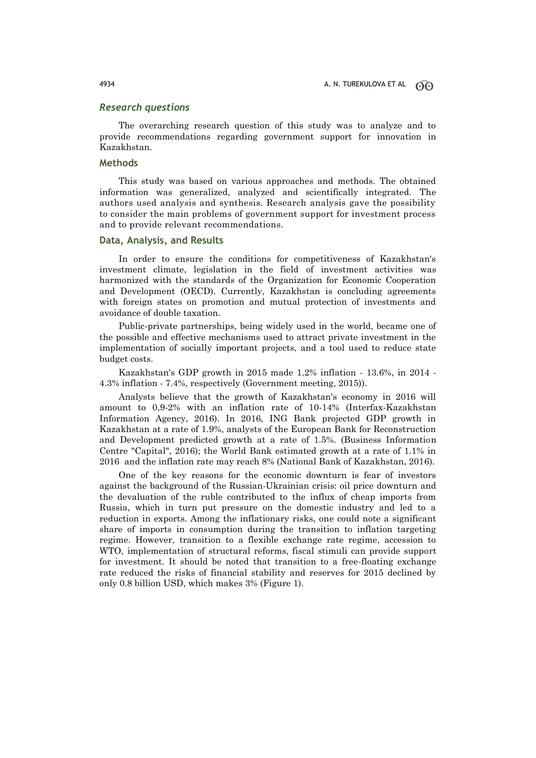### *Research questions*

The overarching research question of this study was to analyze and to provide recommendations regarding government support for innovation in Kazakhstan.

# **Methods**

This study was based on various approaches and methods. The obtained information was generalized, analyzed and scientifically integrated. The authors used analysis and synthesis. Research analysis gave the possibility to consider the main problems of government support for investment process and to provide relevant recommendations.

### **Data, Analysis, and Results**

In order to ensure the conditions for competitiveness of Kazakhstan's investment climate, legislation in the field of investment activities was harmonized with the standards of the Organization for Economic Cooperation and Development (OECD). Currently, Kazakhstan is concluding agreements with foreign states on promotion and mutual protection of investments and avoidance of double taxation.

Public-private partnerships, being widely used in the world, became one of the possible and effective mechanisms used to attract private investment in the implementation of socially important projects, and a tool used to reduce state budget costs.

Kazakhstan's GDP growth in 2015 made 1.2% inflation - 13.6%, in 2014 - 4.3% inflation - 7.4%, respectively (Government meeting, 2015)).

Analysts believe that the growth of Kazakhstan's economy in 2016 will amount to 0,9-2% with an inflation rate of 10-14% (Interfax-Kazakhstan Information Agency, 2016). In 2016, ING Bank projected GDP growth in Kazakhstan at a rate of 1.9%, analysts of the European Bank for Reconstruction and Development predicted growth at a rate of 1.5%. (Business Information Centre "Capital", 2016); the World Bank estimated growth at a rate of 1.1% in 2016 and the inflation rate may reach 8% (National Bank of Kazakhstan, 2016).

One of the key reasons for the economic downturn is fear of investors against the background of the Russian-Ukrainian crisis: oil price downturn and the devaluation of the ruble contributed to the influx of cheap imports from Russia, which in turn put pressure on the domestic industry and led to a reduction in exports. Among the inflationary risks, one could note a significant share of imports in consumption during the transition to inflation targeting regime. However, transition to a flexible exchange rate regime, accession to WTO, implementation of structural reforms, fiscal stimuli can provide support for investment. It should be noted that transition to a free-floating exchange rate reduced the risks of financial stability and reserves for 2015 declined by only 0.8 billion USD, which makes 3% (Figure 1).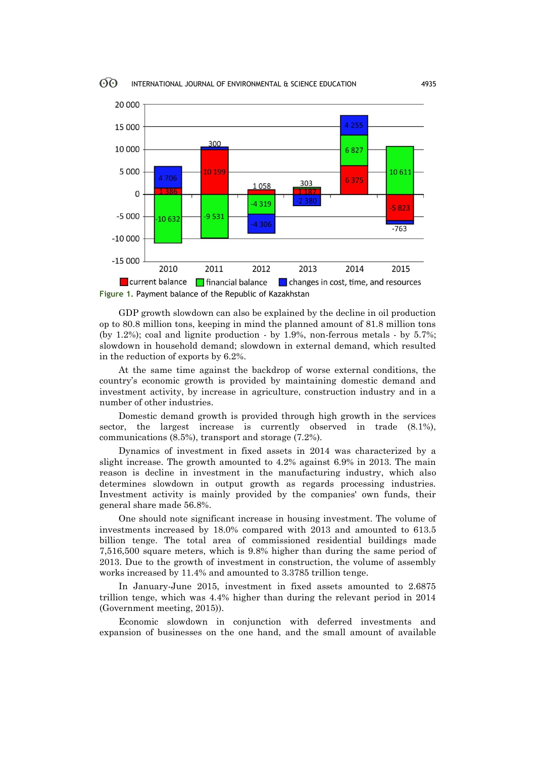

GDP growth slowdown can also be explained by the decline in oil production op to 80.8 million tons, keeping in mind the planned amount of 81.8 million tons (by 1.2%); coal and lignite production - by 1.9%, non-ferrous metals - by 5.7%; slowdown in household demand; slowdown in external demand, which resulted in the reduction of exports by 6.2%.

At the same time against the backdrop of worse external conditions, the country's economic growth is provided by maintaining domestic demand and investment activity, by increase in agriculture, construction industry and in a number of other industries.

Domestic demand growth is provided through high growth in the services sector, the largest increase is currently observed in trade (8.1%), communications (8.5%), transport and storage (7.2%).

Dynamics of investment in fixed assets in 2014 was characterized by a slight increase. The growth amounted to 4.2% against 6.9% in 2013. The main reason is decline in investment in the manufacturing industry, which also determines slowdown in output growth as regards processing industries. Investment activity is mainly provided by the companies' own funds, their general share made 56.8%.

One should note significant increase in housing investment. The volume of investments increased by 18.0% compared with 2013 and amounted to 613.5 billion tenge. The total area of commissioned residential buildings made 7,516,500 square meters, which is 9.8% higher than during the same period of 2013. Due to the growth of investment in construction, the volume of assembly works increased by 11.4% and amounted to 3.3785 trillion tenge.

In January-June 2015, investment in fixed assets amounted to 2.6875 trillion tenge, which was 4.4% higher than during the relevant period in 2014 (Government meeting, 2015)).

Economic slowdown in conjunction with deferred investments and expansion of businesses on the one hand, and the small amount of available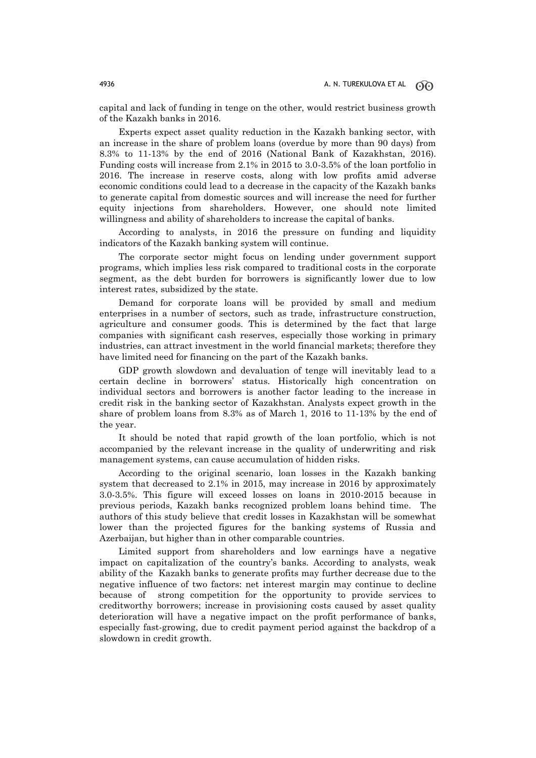capital and lack of funding in tenge on the other, would restrict business growth of the Kazakh banks in 2016.

Experts expect asset quality reduction in the Kazakh banking sector, with an increase in the share of problem loans (overdue by more than 90 days) from 8.3% to 11-13% by the end of 2016 (National Bank of Kazakhstan, 2016). Funding costs will increase from 2.1% in 2015 to 3.0-3.5% of the loan portfolio in 2016. The increase in reserve costs, along with low profits amid adverse economic conditions could lead to a decrease in the capacity of the Kazakh banks to generate capital from domestic sources and will increase the need for further equity injections from shareholders. However, one should note limited willingness and ability of shareholders to increase the capital of banks.

According to analysts, in 2016 the pressure on funding and liquidity indicators of the Kazakh banking system will continue.

The corporate sector might focus on lending under government support programs, which implies less risk compared to traditional costs in the corporate segment, as the debt burden for borrowers is significantly lower due to low interest rates, subsidized by the state.

Demand for corporate loans will be provided by small and medium enterprises in a number of sectors, such as trade, infrastructure construction, agriculture and consumer goods. This is determined by the fact that large companies with significant cash reserves, especially those working in primary industries, can attract investment in the world financial markets; therefore they have limited need for financing on the part of the Kazakh banks.

GDP growth slowdown and devaluation of tenge will inevitably lead to a certain decline in borrowers' status. Historically high concentration on individual sectors and borrowers is another factor leading to the increase in credit risk in the banking sector of Kazakhstan. Analysts expect growth in the share of problem loans from 8.3% as of March 1, 2016 to 11-13% by the end of the year.

It should be noted that rapid growth of the loan portfolio, which is not accompanied by the relevant increase in the quality of underwriting and risk management systems, can cause accumulation of hidden risks.

According to the original scenario, loan losses in the Kazakh banking system that decreased to 2.1% in 2015, may increase in 2016 by approximately 3.0-3.5%. This figure will exceed losses on loans in 2010-2015 because in previous periods, Kazakh banks recognized problem loans behind time. The authors of this study believe that credit losses in Kazakhstan will be somewhat lower than the projected figures for the banking systems of Russia and Azerbaijan, but higher than in other comparable countries.

Limited support from shareholders and low earnings have a negative impact on capitalization of the country's banks. According to analysts, weak ability of the Kazakh banks to generate profits may further decrease due to the negative influence of two factors: net interest margin may continue to decline because of strong competition for the opportunity to provide services to creditworthy borrowers; increase in provisioning costs caused by asset quality deterioration will have a negative impact on the profit performance of banks, especially fast-growing, due to credit payment period against the backdrop of a slowdown in credit growth.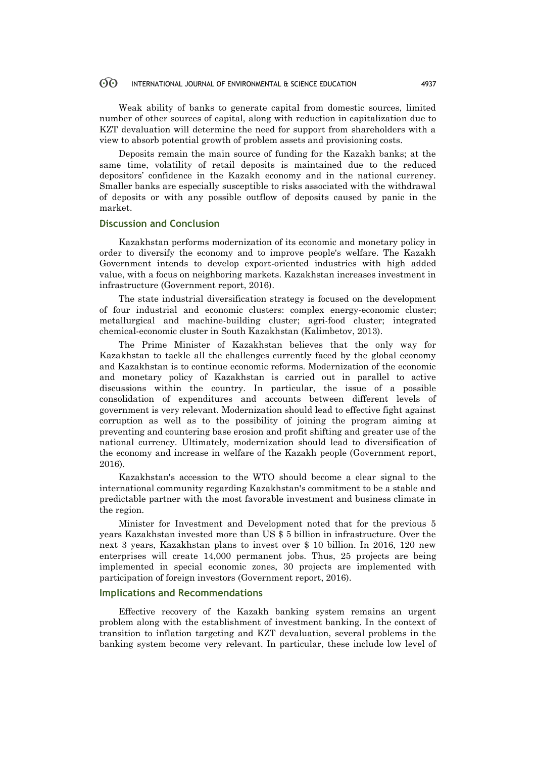#### $\odot$ INTERNATIONAL JOURNAL OF ENVIRONMENTAL & SCIENCE EDUCATION 4937

Weak ability of banks to generate capital from domestic sources, limited number of other sources of capital, along with reduction in capitalization due to KZT devaluation will determine the need for support from shareholders with a view to absorb potential growth of problem assets and provisioning costs.

Deposits remain the main source of funding for the Kazakh banks; at the same time, volatility of retail deposits is maintained due to the reduced depositors' confidence in the Kazakh economy and in the national currency. Smaller banks are especially susceptible to risks associated with the withdrawal of deposits or with any possible outflow of deposits caused by panic in the market.

### **Discussion and Conclusion**

Kazakhstan performs modernization of its economic and monetary policy in order to diversify the economy and to improve people's welfare. The Kazakh Government intends to develop export-oriented industries with high added value, with a focus on neighboring markets. Kazakhstan increases investment in infrastructure (Government report, 2016).

The state industrial diversification strategy is focused on the development of four industrial and economic clusters: complex energy-economic cluster; metallurgical and machine-building cluster; agri-food cluster; integrated chemical-economic cluster in South Kazakhstan (Kalimbetov, 2013).

The Prime Minister of Kazakhstan believes that the only way for Kazakhstan to tackle all the challenges currently faced by the global economy and Kazakhstan is to continue economic reforms. Modernization of the economic and monetary policy of Kazakhstan is carried out in parallel to active discussions within the country. In particular, the issue of a possible consolidation of expenditures and accounts between different levels of government is very relevant. Modernization should lead to effective fight against corruption as well as to the possibility of joining the program aiming at preventing and countering base erosion and profit shifting and greater use of the national currency. Ultimately, modernization should lead to diversification of the economy and increase in welfare of the Kazakh people (Government report, 2016).

Kazakhstan's accession to the WTO should become a clear signal to the international community regarding Kazakhstan's commitment to be a stable and predictable partner with the most favorable investment and business climate in the region.

Minister for Investment and Development noted that for the previous 5 years Kazakhstan invested more than US \$ 5 billion in infrastructure. Over the next 3 years, Kazakhstan plans to invest over \$ 10 billion. In 2016, 120 new enterprises will create 14,000 permanent jobs. Thus, 25 projects are being implemented in special economic zones, 30 projects are implemented with participation of foreign investors (Government report, 2016).

#### **Implications and Recommendations**

Effective recovery of the Kazakh banking system remains an urgent problem along with the establishment of investment banking. In the context of transition to inflation targeting and KZT devaluation, several problems in the banking system become very relevant. In particular, these include low level of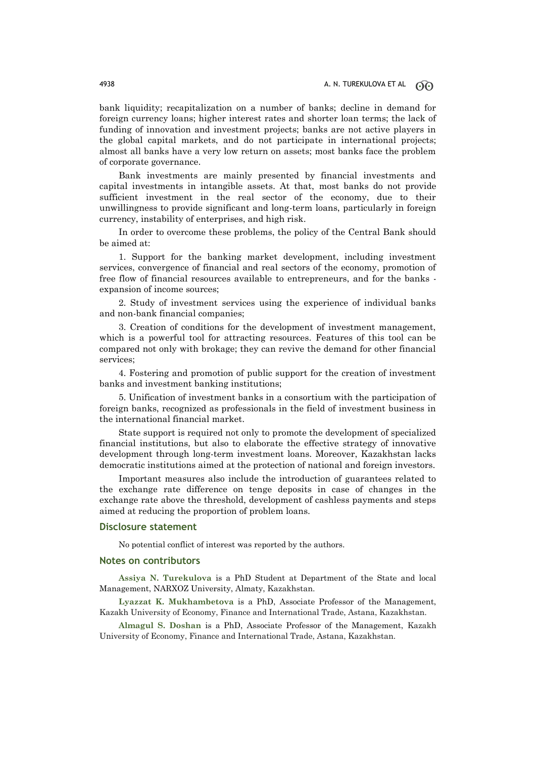bank liquidity; recapitalization on a number of banks; decline in demand for foreign currency loans; higher interest rates and shorter loan terms; the lack of funding of innovation and investment projects; banks are not active players in the global capital markets, and do not participate in international projects; almost all banks have a very low return on assets; most banks face the problem of corporate governance.

Bank investments are mainly presented by financial investments and capital investments in intangible assets. At that, most banks do not provide sufficient investment in the real sector of the economy, due to their unwillingness to provide significant and long-term loans, particularly in foreign currency, instability of enterprises, and high risk.

In order to overcome these problems, the policy of the Central Bank should be aimed at:

1. Support for the banking market development, including investment services, convergence of financial and real sectors of the economy, promotion of free flow of financial resources available to entrepreneurs, and for the banks expansion of income sources;

2. Study of investment services using the experience of individual banks and non-bank financial companies;

3. Creation of conditions for the development of investment management, which is a powerful tool for attracting resources. Features of this tool can be compared not only with brokage; they can revive the demand for other financial services;

4. Fostering and promotion of public support for the creation of investment banks and investment banking institutions;

5. Unification of investment banks in a consortium with the participation of foreign banks, recognized as professionals in the field of investment business in the international financial market.

State support is required not only to promote the development of specialized financial institutions, but also to elaborate the effective strategy of innovative development through long-term investment loans. Moreover, Kazakhstan lacks democratic institutions aimed at the protection of national and foreign investors.

Important measures also include the introduction of guarantees related to the exchange rate difference on tenge deposits in case of changes in the exchange rate above the threshold, development of cashless payments and steps aimed at reducing the proportion of problem loans.

#### **Disclosure statement**

No potential conflict of interest was reported by the authors.

### **Notes on contributors**

**Assiya N. Turekulova** is a PhD Student at Department of the State and local Management, NARXOZ University, Almaty, Kazakhstan.

**Lyazzat K. Mukhambetova** is a PhD, Associate Professor of the Management, Kazakh University of Economy, Finance and International Trade, Astana, Kazakhstan.

**Almagul S. Doshan** is a PhD, Associate Professor of the Management, Kazakh University of Economy, Finance and International Trade, Astana, Kazakhstan.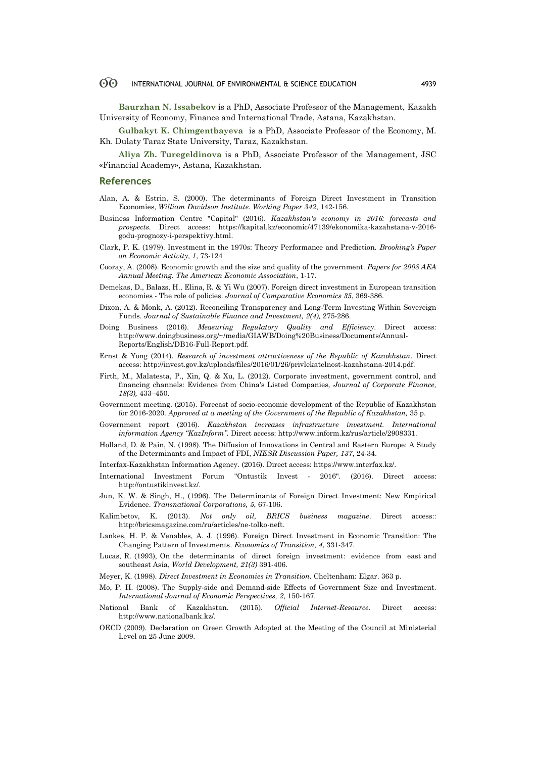#### 60 INTERNATIONAL JOURNAL OF ENVIRONMENTAL & SCIENCE EDUCATION 4939

**Baurzhan N. Issabekov** is a PhD, Associate Professor of the Management, Kazakh University of Economy, Finance and International Trade, Astana, Kazakhstan.

**Gulbakyt K. Chimgentbayeva** is a PhD, Associate Professor of the Economy, M. Kh. Dulaty Taraz State University, Taraz, Kazakhstan.

**Aliya Zh. Turegeldinova** is a PhD, Associate Professor of the Management, JSC «Financial Academy», Astana, Kazakhstan.

#### **References**

- Alan, A. & Estrin, S. (2000). The determinants of Foreign Direct Investment in Transition Economies, *William Davidson Institute. Working Paper 342*, 142-156.
- Business Information Centre "Capital" (2016). *Kazakhstan's economy in 2016: forecasts and prospects.* Direct access: https://kapital.kz/economic/47139/ekonomika-kazahstana-v-2016 godu-prognozy-i-perspektivy.html.
- Clark, P. K. (1979). Investment in the 1970s: Theory Performance and Prediction. *Brooking's Paper on Economic Activity, 1*, 73-124
- Cooray, A. (2008). Economic growth and the size and quality of the government. *Papers for 2008 AEA Annual Meeting. The American Economic Association*, 1-17.
- Demekas, D., Balazs, H., Elina, R. & Yi Wu (2007). Foreign direct investment in European transition economies - The role of policies. *Journal of Comparative Economics 35*, 369-386.
- Dixon, A. & Monk, A. (2012). Reconciling Transparency and Long-Term Investing Within Sovereign Funds. *Journal of Sustainable Finance and Investment, 2(4),* 275-286.
- Doing Business (2016). *Measuring Regulatory Quality and Efficiency*. Direct access: http://www.doingbusiness.org/~/media/GIAWB/Doing%20Business/Documents/Annual-Reports/English/DB16-Full-Report.pdf.
- Ernst & Yong (2014). *Research of investment attractiveness of the Republic of Kazakhstan*. Direct access: http://invest.gov.kz/uploads/files/2016/01/26/privlekatelnost-kazahstana-2014.pdf.
- Firth, M., Malatesta, P., Xin, Q. & Xu, L. (2012). Corporate investment, government control, and financing channels: Evidence from China's Listed Companies, *Journal of Corporate Finance, 18(3),* 433–450.
- Government meeting. (2015). Forecast of socio-economic development of the Republic of Kazakhstan for 2016-2020. *Approved at a meeting of the Government of the Republic of Kazakhstan,* 35 p.
- Government report (2016). *Kazakhstan increases infrastructure investment. International information Agency "KazInform".* Direct access: http://www.inform.kz/rus/article/2908331.
- Holland, D. & Pain, N. (1998). The Diffusion of Innovations in Central and Eastern Europe: A Study of the Determinants and Impact of FDI, *NIESR Discussion Paper, 137*, 24-34.
- Interfax-Kazakhstan Information Agency. (2016). Direct access: https://www.interfax.kz/.
- International Investment Forum "Ontustik Invest 2016". (2016). Direct access: http://ontustikinvest.kz/.
- Jun, K. W. & Singh, H., (1996). The Determinants of Foreign Direct Investment: New Empirical Evidence. *Transnational Corporations, 5*, 67-106.
- Kalimbetov, K. (2013). *Not only oil, BRICS business magazine*. Direct access:: http://bricsmagazine.com/ru/articles/ne-tolko-neft.
- Lankes, H. P. & Venables, A. J. (1996). Foreign Direct Investment in Economic Transition: The Changing Pattern of Investments. *Economics of Transition, 4*, 331-347.
- Lucas, R. (1993), On the determinants of direct foreign investment: evidence from east and southeast Asia, *World Development, 21(3)* 391-406.
- Meyer, K. (1998). *Direct Investment in Economies in Transition.* Cheltenham: Elgar. 363 p.
- Mo, P. H. (2008). The Supply-side and Demand-side Effects of Government Size and Investment. *International Journal of Economic Perspectives, 2*, 150-167.
- National Bank of Kazakhstan. (2015). *Official Internet-Resource.* Direct access: http://www.nationalbank.kz/.
- OECD (2009). Declaration on Green Growth Adopted at the Meeting of the Council at Ministerial Level on 25 June 2009.